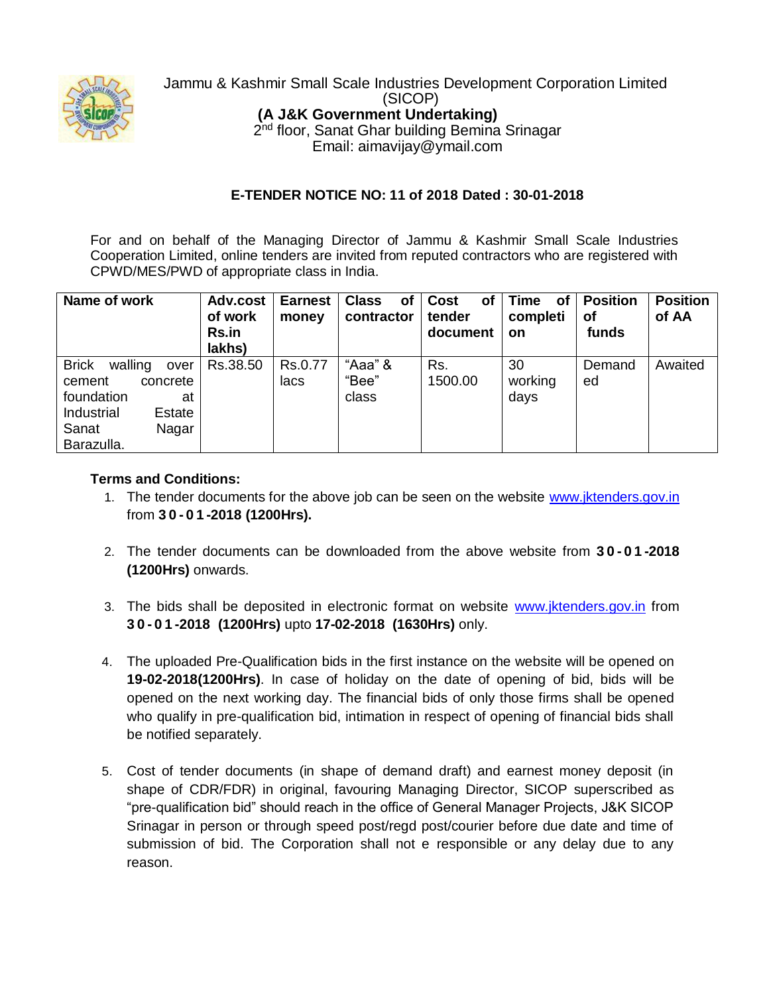

Jammu & Kashmir Small Scale Industries Development Corporation Limited (SICOP) **(A J&K Government Undertaking)** 2<sup>nd</sup> floor, Sanat Ghar building Bemina Srinagar Email: aimavijay@ymail.com

## **E-TENDER NOTICE NO: 11 of 2018 Dated : 30-01-2018**

For and on behalf of the Managing Director of Jammu & Kashmir Small Scale Industries Cooperation Limited, online tenders are invited from reputed contractors who are registered with CPWD/MES/PWD of appropriate class in India.

| Name of work                                                                                                                      | Adv.cost<br>of work<br><b>Rs.in</b><br>lakhs) | <b>Earnest</b><br>money | <b>Class</b><br><b>of</b><br>contractor | Cost<br><b>of</b><br>tender<br>document | <b>Time</b><br>οf<br>completi<br><b>on</b> | <b>Position</b><br><b>of</b><br>funds | <b>Position</b><br>of AA |
|-----------------------------------------------------------------------------------------------------------------------------------|-----------------------------------------------|-------------------------|-----------------------------------------|-----------------------------------------|--------------------------------------------|---------------------------------------|--------------------------|
| <b>Brick</b><br>walling<br>over<br>concrete<br>cement<br>foundation<br>at<br>Industrial<br>Estate<br>Sanat<br>Nagar<br>Barazulla. | Rs.38.50                                      | Rs.0.77<br>lacs         | "Aaa" &<br>"Bee"<br>class               | Rs.<br>1500.00                          | 30<br>working<br>days                      | Demand<br>ed                          | Awaited                  |

## **Terms and Conditions:**

- 1. The tender documents for the above job can be seen on the website www.jktenders.gov.in from **3 0 - 0 1 -2018 (1200Hrs).**
- 2. The tender documents can be downloaded from the above website from **3 0 - 0 1 -2018 (1200Hrs)** onwards.
- 3. The bids shall be deposited in electronic format on website www.jktenders.gov.in from **3 0 - 0 1 -2018 (1200Hrs)** upto **17-02-2018 (1630Hrs)** only.
- 4. The uploaded Pre-Qualification bids in the first instance on the website will be opened on **19-02-2018(1200Hrs)**. In case of holiday on the date of opening of bid, bids will be opened on the next working day. The financial bids of only those firms shall be opened who qualify in pre-qualification bid, intimation in respect of opening of financial bids shall be notified separately.
- 5. Cost of tender documents (in shape of demand draft) and earnest money deposit (in shape of CDR/FDR) in original, favouring Managing Director, SICOP superscribed as "pre-qualification bid" should reach in the office of General Manager Projects, J&K SICOP Srinagar in person or through speed post/regd post/courier before due date and time of submission of bid. The Corporation shall not e responsible or any delay due to any reason.